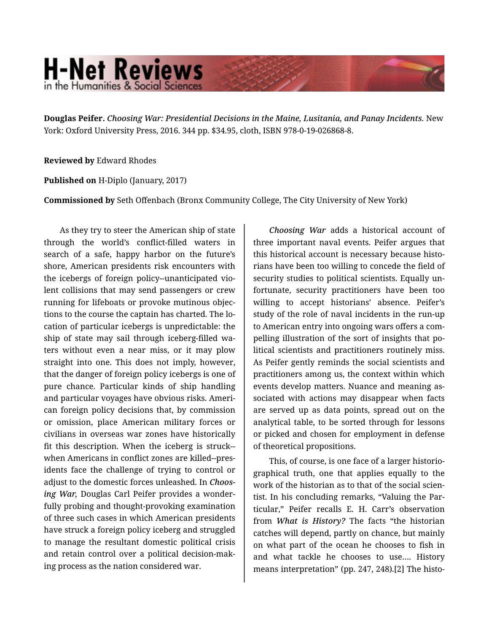## **H-Net Reviews** in the Humanities & Social Sciend

**Douglas Peifer.** *Choosing War: Presidential Decisions in the Maine, Lusitania, and Panay Incidents.* New York: Oxford University Press, 2016. 344 pp. \$34.95, cloth, ISBN 978-0-19-026868-8.

**Reviewed by** Edward Rhodes

**Published on** H-Diplo (January, 2017)

**Commissioned by** Seth Offenbach (Bronx Community College, The City University of New York)

As they try to steer the American ship of state through the world's conflict-filled waters in search of a safe, happy harbor on the future's shore, American presidents risk encounters with the icebergs of foreign policy--unanticipated vio‐ lent collisions that may send passengers or crew running for lifeboats or provoke mutinous objec‐ tions to the course the captain has charted. The lo‐ cation of particular icebergs is unpredictable: the ship of state may sail through iceberg-filled wa‐ ters without even a near miss, or it may plow straight into one. This does not imply, however, that the danger of foreign policy icebergs is one of pure chance. Particular kinds of ship handling and particular voyages have obvious risks. Ameri‐ can foreign policy decisions that, by commission or omission, place American military forces or civilians in overseas war zones have historically fit this description. When the iceberg is struck- when Americans in conflict zones are killed--pres‐ idents face the challenge of trying to control or adjust to the domestic forces unleashed. In *Choos‐ ing War,* Douglas Carl Peifer provides a wonder‐ fully probing and thought-provoking examination of three such cases in which American presidents have struck a foreign policy iceberg and struggled to manage the resultant domestic political crisis and retain control over a political decision-mak‐ ing process as the nation considered war.

*Choosing War* adds a historical account of three important naval events. Peifer argues that this historical account is necessary because histo‐ rians have been too willing to concede the field of security studies to political scientists. Equally un‐ fortunate, security practitioners have been too willing to accept historians' absence. Peifer's study of the role of naval incidents in the run-up to American entry into ongoing wars offers a com‐ pelling illustration of the sort of insights that po‐ litical scientists and practitioners routinely miss. As Peifer gently reminds the social scientists and practitioners among us, the context within which events develop matters. Nuance and meaning as‐ sociated with actions may disappear when facts are served up as data points, spread out on the analytical table, to be sorted through for lessons or picked and chosen for employment in defense of theoretical propositions.

This, of course, is one face of a larger historio‐ graphical truth, one that applies equally to the work of the historian as to that of the social scien‐ tist. In his concluding remarks, "Valuing the Par‐ ticular," Peifer recalls E. H. Carr's observation from *What is History?* The facts "the historian catches will depend, partly on chance, but mainly on what part of the ocean he chooses to fish in and what tackle he chooses to use…. History means interpretation" (pp. 247, 248).[2] The histo‐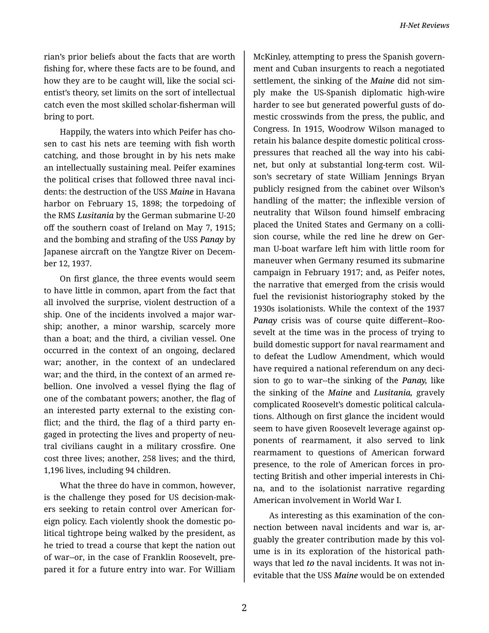rian's prior beliefs about the facts that are worth fishing for, where these facts are to be found, and how they are to be caught will, like the social sci‐ entist's theory, set limits on the sort of intellectual catch even the most skilled scholar-fisherman will bring to port.

Happily, the waters into which Peifer has cho‐ sen to cast his nets are teeming with fish worth catching, and those brought in by his nets make an intellectually sustaining meal. Peifer examines the political crises that followed three naval inci‐ dents: the destruction of the USS *Maine* in Havana harbor on February 15, 1898; the torpedoing of the RMS *Lusitania* by the German submarine U-20 off the southern coast of Ireland on May 7, 1915; and the bombing and strafing of the USS *Panay* by Japanese aircraft on the Yangtze River on Decem‐ ber 12, 1937.

On first glance, the three events would seem to have little in common, apart from the fact that all involved the surprise, violent destruction of a ship. One of the incidents involved a major war‐ ship; another, a minor warship, scarcely more than a boat; and the third, a civilian vessel. One occurred in the context of an ongoing, declared war; another, in the context of an undeclared war; and the third, in the context of an armed re‐ bellion. One involved a vessel flying the flag of one of the combatant powers; another, the flag of an interested party external to the existing con‐ flict; and the third, the flag of a third party en‐ gaged in protecting the lives and property of neu‐ tral civilians caught in a military crossfire. One cost three lives; another, 258 lives; and the third, 1,196 lives, including 94 children.

What the three do have in common, however, is the challenge they posed for US decision-mak‐ ers seeking to retain control over American for‐ eign policy. Each violently shook the domestic po‐ litical tightrope being walked by the president, as he tried to tread a course that kept the nation out of war--or, in the case of Franklin Roosevelt, pre‐ pared it for a future entry into war. For William

McKinley, attempting to press the Spanish govern‐ ment and Cuban insurgents to reach a negotiated settlement, the sinking of the *Maine* did not sim‐ ply make the US-Spanish diplomatic high-wire harder to see but generated powerful gusts of do‐ mestic crosswinds from the press, the public, and Congress. In 1915, Woodrow Wilson managed to retain his balance despite domestic political crosspressures that reached all the way into his cabi‐ net, but only at substantial long-term cost. Wil‐ son's secretary of state William Jennings Bryan publicly resigned from the cabinet over Wilson's handling of the matter; the inflexible version of neutrality that Wilson found himself embracing placed the United States and Germany on a colli‐ sion course, while the red line he drew on German U-boat warfare left him with little room for maneuver when Germany resumed its submarine campaign in February 1917; and, as Peifer notes, the narrative that emerged from the crisis would fuel the revisionist historiography stoked by the 1930s isolationists. While the context of the 1937 *Panay* crisis was of course quite different--Roo‐ sevelt at the time was in the process of trying to build domestic support for naval rearmament and to defeat the Ludlow Amendment, which would have required a national referendum on any deci‐ sion to go to war--the sinking of the *Panay,* like the sinking of the *Maine* and *Lusitania,* gravely complicated Roosevelt's domestic political calcula‐ tions. Although on first glance the incident would seem to have given Roosevelt leverage against op‐ ponents of rearmament, it also served to link rearmament to questions of American forward presence, to the role of American forces in pro‐ tecting British and other imperial interests in Chi‐ na, and to the isolationist narrative regarding American involvement in World War I.

As interesting as this examination of the con‐ nection between naval incidents and war is, ar‐ guably the greater contribution made by this vol‐ ume is in its exploration of the historical path‐ ways that led *to* the naval incidents. It was not in‐ evitable that the USS *Maine* would be on extended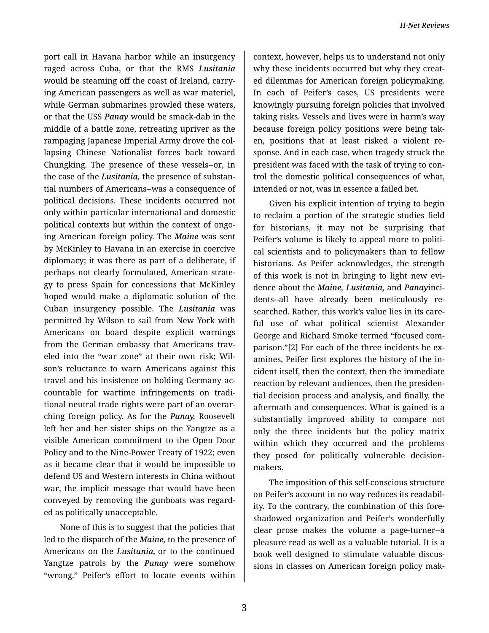port call in Havana harbor while an insurgency raged across Cuba, or that the RMS *Lusitania*  would be steaming off the coast of Ireland, carry‐ ing American passengers as well as war materiel, while German submarines prowled these waters, or that the USS *Panay* would be smack-dab in the middle of a battle zone, retreating upriver as the rampaging Japanese Imperial Army drove the col‐ lapsing Chinese Nationalist forces back toward Chungking. The presence of these vessels--or, in the case of the *Lusitania,* the presence of substan‐ tial numbers of Americans--was a consequence of political decisions. These incidents occurred not only within particular international and domestic political contexts but within the context of ongo‐ ing American foreign policy. The *Maine* was sent by McKinley to Havana in an exercise in coercive diplomacy; it was there as part of a deliberate, if perhaps not clearly formulated, American strate‐ gy to press Spain for concessions that McKinley hoped would make a diplomatic solution of the Cuban insurgency possible. The *Lusitania* was permitted by Wilson to sail from New York with Americans on board despite explicit warnings from the German embassy that Americans traveled into the "war zone" at their own risk; Wil‐ son's reluctance to warn Americans against this travel and his insistence on holding Germany ac‐ countable for wartime infringements on tradi‐ tional neutral trade rights were part of an overar‐ ching foreign policy. As for the *Panay,* Roosevelt left her and her sister ships on the Yangtze as a visible American commitment to the Open Door Policy and to the Nine-Power Treaty of 1922; even as it became clear that it would be impossible to defend US and Western interests in China without war, the implicit message that would have been conveyed by removing the gunboats was regard‐ ed as politically unacceptable.

None of this is to suggest that the policies that led to the dispatch of the *Maine,* to the presence of Americans on the *Lusitania,* or to the continued Yangtze patrols by the *Panay* were somehow "wrong." Peifer's effort to locate events within

context, however, helps us to understand not only why these incidents occurred but why they creat‐ ed dilemmas for American foreign policymaking. In each of Peifer's cases, US presidents were knowingly pursuing foreign policies that involved taking risks. Vessels and lives were in harm's way because foreign policy positions were being tak‐ en, positions that at least risked a violent re‐ sponse. And in each case, when tragedy struck the president was faced with the task of trying to con‐ trol the domestic political consequences of what, intended or not, was in essence a failed bet.

Given his explicit intention of trying to begin to reclaim a portion of the strategic studies field for historians, it may not be surprising that Peifer's volume is likely to appeal more to politi‐ cal scientists and to policymakers than to fellow historians. As Peifer acknowledges, the strength of this work is not in bringing to light new evi‐ dence about the *Maine, Lusitania,* and *Panay*inci‐ dents--all have already been meticulously re‐ searched. Rather, this work's value lies in its care‐ ful use of what political scientist Alexander George and Richard Smoke termed "focused com‐ parison."[2] For each of the three incidents he examines, Peifer first explores the history of the in‐ cident itself, then the context, then the immediate reaction by relevant audiences, then the presiden‐ tial decision process and analysis, and finally, the aftermath and consequences. What is gained is a substantially improved ability to compare not only the three incidents but the policy matrix within which they occurred and the problems they posed for politically vulnerable decisionmakers.

The imposition of this self-conscious structure on Peifer's account in no way reduces its readabil‐ ity. To the contrary, the combination of this fore‐ shadowed organization and Peifer's wonderfully clear prose makes the volume a page-turner--a pleasure read as well as a valuable tutorial. It is a book well designed to stimulate valuable discus‐ sions in classes on American foreign policy mak‐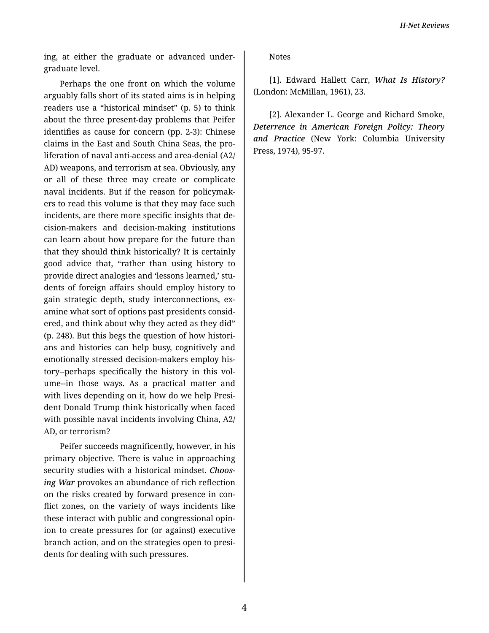ing, at either the graduate or advanced undergraduate level.

Perhaps the one front on which the volume arguably falls short of its stated aims is in helping readers use a "historical mindset" (p. 5) to think about the three present-day problems that Peifer identifies as cause for concern (pp. 2-3): Chinese claims in the East and South China Seas, the proliferation of naval anti-access and area-denial (A2/ AD) weapons, and terrorism at sea. Obviously, any or all of these three may create or complicate naval incidents. But if the reason for policymakers to read this volume is that they may face such incidents, are there more specific insights that decision-makers and decision-making institutions can learn about how prepare for the future than that they should think historically? It is certainly good advice that, "rather than using history to provide direct analogies and 'lessons learned,' students of foreign affairs should employ history to gain strategic depth, study interconnections, examine what sort of options past presidents considered, and think about why they acted as they did" (p. 248). But this begs the question of how historians and histories can help busy, cognitively and emotionally stressed decision-makers employ history--perhaps specifically the history in this volume--in those ways. As a practical matter and with lives depending on it, how do we help President Donald Trump think historically when faced with possible naval incidents involving China, A2/ AD, or terrorism?

Peifer succeeds magnificently, however, in his primary objective. There is value in approaching security studies with a historical mindset. Choosing War provokes an abundance of rich reflection on the risks created by forward presence in conflict zones, on the variety of ways incidents like these interact with public and congressional opinion to create pressures for (or against) executive branch action, and on the strategies open to presidents for dealing with such pressures.

**Notes** 

[1]. Edward Hallett Carr, What Is History? (London: McMillan, 1961), 23.

[2]. Alexander L. George and Richard Smoke, Deterrence in American Foreign Policy: Theory and Practice (New York: Columbia University Press, 1974), 95-97.